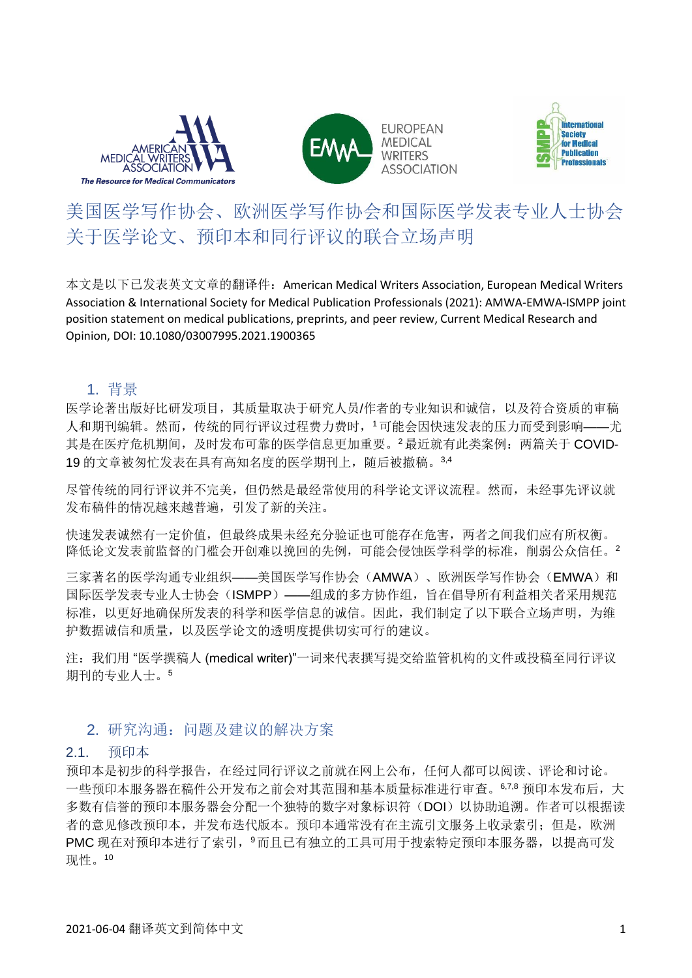





# 美国医学写作协会、欧洲医学写作协会和国际医学发表专业人士协会 关于医学论文、预印本和同行评议的联合立场声明

本文是以下已发表英文文章的翻译件: American Medical Writers Association, European Medical Writers Association & International Society for Medical Publication Professionals (2021): AMWA-EMWA-ISMPP joint position statement on medical publications, preprints, and peer review, Current Medical Research and Opinion, DOI: 10.1080/03007995.2021.1900365

## 1. 背景

医学论著出版好比研发项目,其质量取决于研究人员/作者的专业知识和诚信,以及符合资质的审稿 人和期刊编辑。然而,传统的同行评议过程费力费时,<sup>1</sup>可能会因快速发表的压力而受到影响——尤 其是在医疗危机期间,及时发布可靠的医学信息更加重要。2最近就有此类案例:两篇关于 COVID-19 的文章被匆忙发表在具有高知名度的医学期刊上, 随后被撤稿。3,4

尽管传统的同行评议并不完美,但仍然是最经常使用的科学论文评议流程。然而,未经事先评议就 发布稿件的情况越来越普遍,引发了新的关注。

快速发表诚然有一定价值,但最终成果未经充分验证也可能存在危害,两者之间我们应有所权衡。 降低论文发表前监督的门槛会开创难以挽回的先例,可能会侵蚀医学科学的标准,削弱公众信任。

三家著名的医学沟通专业组织——美国医学写作协会(AMWA)、欧洲医学写作协会(EMWA)和 国际医学发表专业人士协会(ISMPP)——组成的多方协作组,旨在倡导所有利益相关者采用规范 标准,以更好地确保所发表的科学和医学信息的诚信。因此,我们制定了以下联合立场声明,为维 护数据诚信和质量,以及医学论文的透明度提供切实可行的建议。

注:我们用 "医学撰稿人 (medical writer)"一词来代表撰写提交给监管机构的文件或投稿至同行评议 期刊的专业人士。<sup>5</sup>

## 2. 研究沟通:问题及建议的解决方案

#### 2.1. 预印本

预印本是初步的科学报告,在经过同行评议之前就在网上公布,任何人都可以阅读、评论和讨论。 一些预印本服务器在稿件公开发布之前会对其范围和基本质量标准进行审查。6,7,8 预印本发布后,大 多数有信誉的预印本服务器会分配一个独特的数字对象标识符(DOI)以协助追溯。作者可以根据读 者的意见修改预印本,并发布迭代版本。预印本通常没有在主流引文服务上收录索引;但是,欧洲 PMC 现在对预印本进行了索引, <sup>9</sup>而且已有独立的工具可用于搜索特定预印本服务器, 以提高可发 现性。10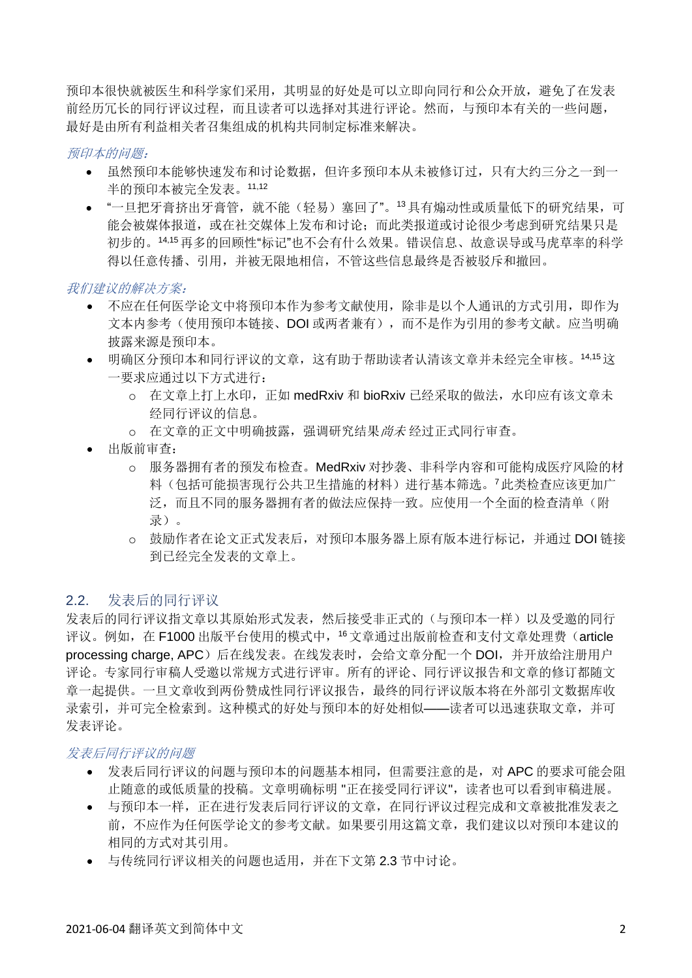预印本很快就被医生和科学家们采用,其明显的好处是可以立即向同行和公众开放,避免了在发表 前经历冗长的同行评议过程,而且读者可以选择对其进行评论。然而,与预印本有关的一些问题, 最好是由所有利益相关者召集组成的机构共同制定标准来解决。

#### 预印本的问题:

- 虽然预印本能够快速发布和讨论数据,但许多预印本从未被修订过,只有大约三分之一到一 半的预印本被完全发表。11,12
- "一旦把牙膏挤出牙膏管,就不能(轻易)塞回了"。<sup>13</sup>具有煽动性或质量低下的研究结果,可 能会被媒体报道,或在社交媒体上发布和讨论;而此类报道或讨论很少考虑到研究结果只是 初步的。14,15再多的回顾性"标记"也不会有什么效果。错误信息、故意误导或马虎草率的科学 得以任意传播、引用,并被无限地相信,不管这些信息最终是否被驳斥和撤回。

我们建议的解决方案:

- 不应在任何医学论文中将预印本作为参考文献使用,除非是以个人通讯的方式引用,即作为 文本内参考(使用预印本链接、DOI 或两者兼有),而不是作为引用的参考文献。应当明确 披露来源是预印本。
- 明确区分预印本和同行评议的文章,这有助于帮助读者认清该文章并未经完全审核。14,15这 一要求应通过以下方式进行:
	- o 在文章上打上水印,正如 medRxiv 和 bioRxiv 已经采取的做法,水印应有该文章未 经同行评议的信息。
	- o 在文章的正文中明确披露, 强调研究结果*尚未* 经过正式同行审查。
- 出版前审查:
	- o 服务器拥有者的预发布检查。MedRxiv 对抄袭、非科学内容和可能构成医疗风险的材 料(包括可能损害现行公共卫生措施的材料)进行基本筛选。<sup>7</sup>此类检查应该更加广 泛,而且不同的服务器拥有者的做法应保持一致。应使用一个全面的检查清单(附 录)。
	- o 鼓励作者在论文正式发表后,对预印本服务器上原有版本进行标记,并通过 DOI 链接 到已经完全发表的文章上。

## 2.2. 发表后的同行评议

发表后的同行评议指文章以其原始形式发表,然后接受非正式的(与预印本一样)以及受邀的同行 评议。例如, 在 F1000 出版平台使用的模式中, <sup>16</sup>文章通过出版前检查和支付文章处理费(article processing charge, APC)后在线发表。在线发表时,会给文章分配一个 DOI,并开放给注册用户 评论。专家同行审稿人受邀以常规方式进行评审。所有的评论、同行评议报告和文章的修订都随文 章一起提供。一旦文章收到两份赞成性同行评议报告,最终的同行评议版本将在外部引文数据库收 录索引,并可完全检索到。这种模式的好处与预印本的好处相似——读者可以迅速获取文章,并可 发表评论。

## 发表后同行评议的问题

- 发表后同行评议的问题与预印本的问题基本相同,但需要注意的是,对 APC 的要求可能会阻 止随意的或低质量的投稿。文章明确标明 "正在接受同行评议",读者也可以看到审稿进展。
- 与预印本一样,正在进行发表后同行评议的文章,在同行评议过程完成和文章被批准发表之 前,不应作为任何医学论文的参考文献。如果要引用这篇文章,我们建议以对预印本建议的 相同的方式对其引用。
- 与传统同行评议相关的问题也适用,并在下文第 2.3 节中讨论。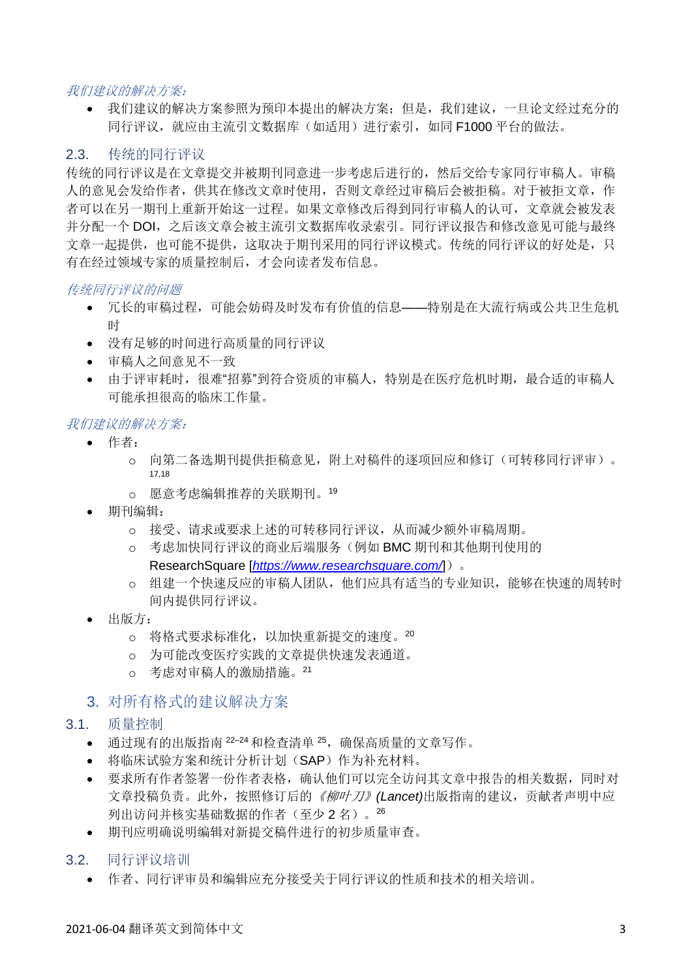#### 我们建议的解决方案:

• 我们建议的解决方案参照为预印本提出的解决方案;但是,我们建议,一旦论文经过充分的 同行评议,就应由主流引文数据库(如适用)进行索引,如同 F1000 平台的做法。

### 2.3. 传统的同行评议

传统的同行评议是在文章提交并被期刊同意进一步考虑后进行的,然后交给专家同行审稿人。审稿 人的意见会发给作者,供其在修改文章时使用,否则文章经过审稿后会被拒稿。对于被拒文章,作 者可以在另一期刊上重新开始这一过程。如果文章修改后得到同行审稿人的认可,文章就会被发表 并分配一个 DOI, 之后该文章会被主流引文数据库收录索引。同行评议报告和修改意见可能与最终 文章一起提供,也可能不提供,这取决于期刊采用的同行评议模式。传统的同行评议的好处是,只 有在经过领域专家的质量控制后,才会向读者发布信息。

#### 传统同行评议的问题

- 冗长的审稿过程,可能会妨碍及时发布有价值的信息——特别是在大流行病或公共卫生危机 时
- 没有足够的时间进行高质量的同行评议
- 审稿人之间意见不一致
- 由于评审耗时,很难"招募"到符合资质的审稿人,特别是在医疗危机时期,最合适的审稿人 可能承担很高的临床工作量。

#### 我们建议的解决方案:

- 作者:
	- o 向第二备选期刊提供拒稿意见,附上对稿件的逐项回应和修订(可转移同行评审)。 17,18
	- o 愿意考虑编辑推荐的关联期刊。<sup>19</sup>
- 期刊编辑:
	- o 接受、请求或要求上述的可转移同行评议,从而减少额外审稿周期。
	- o 考虑加快同行评议的商业后端服务(例如 BMC 期刊和其他期刊使用的 ResearchSquare [*<https://www.researchsquare.com/>*])。
	- o 组建一个快速反应的审稿人团队,他们应具有适当的专业知识,能够在快速的周转时 间内提供同行评议。
- 出版方:
	- o 将格式要求标准化,以加快重新提交的速度。<sup>20</sup>
	- o 为可能改变医疗实践的文章提供快速发表通道。
	- o 考虑对审稿人的激励措施。<sup>21</sup>

## 3. 对所有格式的建议解决方案

- 3.1. 质量控制
	- 通过现有的出版指南 22-24 和检查清单 25, 确保高质量的文章写作。
	- 将临床试验方案和统计分析计划(SAP)作为补充材料。
	- 要求所有作者签署一份作者表格,确认他们可以完全访问其文章中报告的相关数据,同时对 文章投稿负责。此外,按照修订后的《柳叶刀》*(Lancet)*出版指南的建议,贡献者声明中应 列出访问并核实基础数据的作者(至少 2 名)。<sup>26</sup>
	- 期刊应明确说明编辑对新提交稿件进行的初步质量审查。
- 3.2. 同行评议培训
	- 作者、同行评审员和编辑应充分接受关于同行评议的性质和技术的相关培训。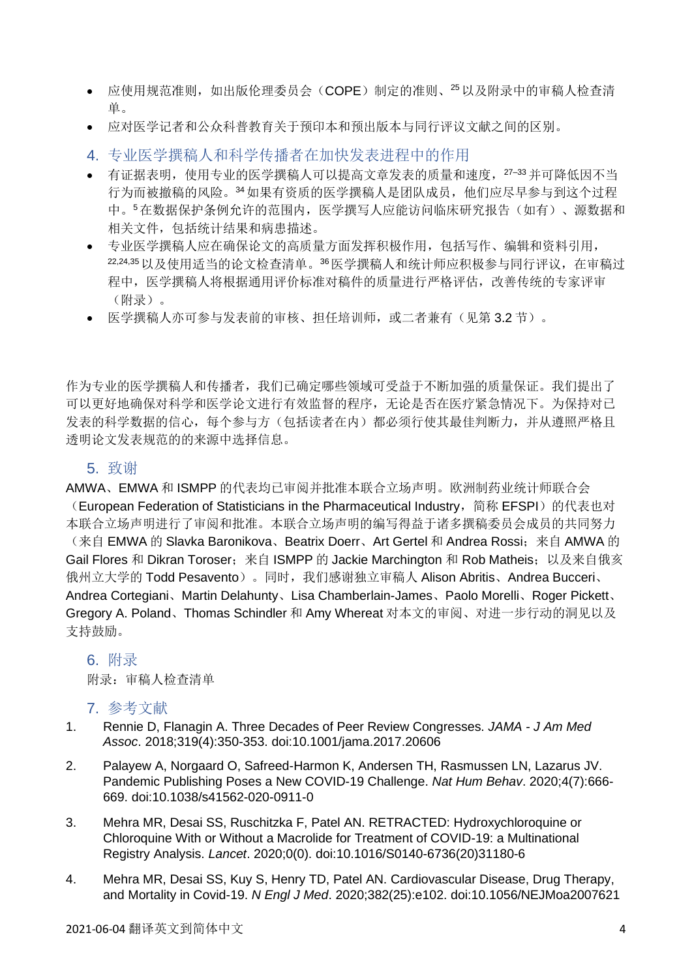- 应使用规范准则,如出版伦理委员会(COPE)制定的准则、<sup>25</sup>以及附录中的审稿人检查清 单。
- 应对医学记者和公众科普教育关于预印本和预出版本与同行评议文献之间的区别。
- 4. 专业医学撰稿人和科学传播者在加快发表进程中的作用
- 有证据表明, 使用专业的医学撰稿人可以提高文章发表的质量和速度, 27-33 并可降低因不当 行为而被撤稿的风险。<sup>34</sup>如果有资质的医学撰稿人是团队成员,他们应尽早参与到这个过程 中。<sup>5</sup>在数据保护条例允许的范围内,医学撰写人应能访问临床研究报告(如有)、源数据和 相关文件,包括统计结果和病患描述。
- 专业医学撰稿人应在确保论文的高质量方面发挥积极作用,包括写作、编辑和资料引用, 22,24,35 以及使用适当的论文检查清单。36 医学撰稿人和统计师应积极参与同行评议,在审稿过 程中,医学撰稿人将根据通用评价标准对稿件的质量进行严格评估,改善传统的专家评审 (附录)。
- 医学撰稿人亦可参与发表前的审核、担任培训师,或二者兼有(见第 3.2 节)。

作为专业的医学撰稿人和传播者,我们已确定哪些领域可受益于不断加强的质量保证。我们提出了 可以更好地确保对科学和医学论文进行有效监督的程序,无论是否在医疗紧急情况下。为保持对已 发表的科学数据的信心,每个参与方(包括读者在内)都必须行使其最佳判断力,并从遵照严格且 透明论文发表规范的的来源中选择信息。

## 5. 致谢

AMWA、EMWA 和 ISMPP 的代表均已审阅并批准本联合立场声明。欧洲制药业统计师联合会 (European Federation of Statisticians in the Pharmaceutical Industry,简称 EFSPI)的代表也对 本联合立场声明进行了审阅和批准。本联合立场声明的编写得益于诸多撰稿委员会成员的共同努力 (来自 EMWA 的 Slavka Baronikova、Beatrix Doerr、Art Gertel 和 Andrea Rossi; 来自 AMWA 的 Gail Flores 和 Dikran Toroser; 来自 ISMPP 的 Jackie Marchington 和 Rob Matheis; 以及来自俄亥 俄州立大学的 Todd Pesavento)。同时,我们感谢独立审稿人 Alison Abritis、Andrea Bucceri、 Andrea Cortegiani、Martin Delahunty、Lisa Chamberlain-James、Paolo Morelli、Roger Pickett、 Gregory A. Poland、Thomas Schindler 和 Amy Whereat 对本文的审阅、对进一步行动的洞见以及 支持鼓励。

## 6. 附录

附录:审稿人检查清单

## 7. 参考文献

- 1. Rennie D, Flanagin A. Three Decades of Peer Review Congresses. *JAMA - J Am Med Assoc*. 2018;319(4):350-353. doi:10.1001/jama.2017.20606
- 2. Palayew A, Norgaard O, Safreed-Harmon K, Andersen TH, Rasmussen LN, Lazarus JV. Pandemic Publishing Poses a New COVID-19 Challenge. *Nat Hum Behav*. 2020;4(7):666- 669. doi:10.1038/s41562-020-0911-0
- 3. Mehra MR, Desai SS, Ruschitzka F, Patel AN. RETRACTED: Hydroxychloroquine or Chloroquine With or Without a Macrolide for Treatment of COVID-19: a Multinational Registry Analysis. *Lancet*. 2020;0(0). doi:10.1016/S0140-6736(20)31180-6
- 4. Mehra MR, Desai SS, Kuy S, Henry TD, Patel AN. Cardiovascular Disease, Drug Therapy, and Mortality in Covid-19. *N Engl J Med*. 2020;382(25):e102. doi:10.1056/NEJMoa2007621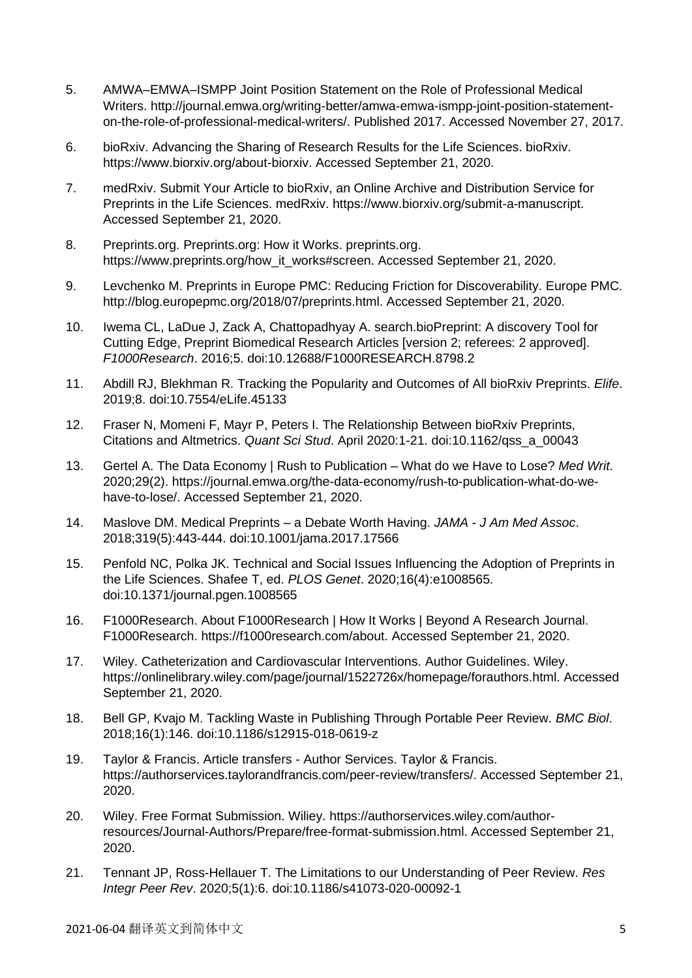- 5. AMWA‒EMWA‒ISMPP Joint Position Statement on the Role of Professional Medical Writers. http://journal.emwa.org/writing-better/amwa-emwa-ismpp-joint-position-statementon-the-role-of-professional-medical-writers/. Published 2017. Accessed November 27, 2017.
- 6. bioRxiv. Advancing the Sharing of Research Results for the Life Sciences. bioRxiv. https://www.biorxiv.org/about-biorxiv. Accessed September 21, 2020.
- 7. medRxiv. Submit Your Article to bioRxiv, an Online Archive and Distribution Service for Preprints in the Life Sciences. medRxiv. https://www.biorxiv.org/submit-a-manuscript. Accessed September 21, 2020.
- 8. Preprints.org. Preprints.org: How it Works. preprints.org. https://www.preprints.org/how\_it\_works#screen. Accessed September 21, 2020.
- 9. Levchenko M. Preprints in Europe PMC: Reducing Friction for Discoverability. Europe PMC. http://blog.europepmc.org/2018/07/preprints.html. Accessed September 21, 2020.
- 10. Iwema CL, LaDue J, Zack A, Chattopadhyay A. search.bioPreprint: A discovery Tool for Cutting Edge, Preprint Biomedical Research Articles [version 2; referees: 2 approved]. *F1000Research*. 2016;5. doi:10.12688/F1000RESEARCH.8798.2
- 11. Abdill RJ, Blekhman R. Tracking the Popularity and Outcomes of All bioRxiv Preprints. *Elife*. 2019;8. doi:10.7554/eLife.45133
- 12. Fraser N, Momeni F, Mayr P, Peters I. The Relationship Between bioRxiv Preprints, Citations and Altmetrics. *Quant Sci Stud*. April 2020:1-21. doi:10.1162/qss\_a\_00043
- 13. Gertel A. The Data Economy | Rush to Publication What do we Have to Lose? *Med Writ*. 2020;29(2). https://journal.emwa.org/the-data-economy/rush-to-publication-what-do-wehave-to-lose/. Accessed September 21, 2020.
- 14. Maslove DM. Medical Preprints a Debate Worth Having. *JAMA - J Am Med Assoc*. 2018;319(5):443-444. doi:10.1001/jama.2017.17566
- 15. Penfold NC, Polka JK. Technical and Social Issues Influencing the Adoption of Preprints in the Life Sciences. Shafee T, ed. *PLOS Genet*. 2020;16(4):e1008565. doi:10.1371/journal.pgen.1008565
- 16. F1000Research. About F1000Research | How It Works | Beyond A Research Journal. F1000Research. https://f1000research.com/about. Accessed September 21, 2020.
- 17. Wiley. Catheterization and Cardiovascular Interventions. Author Guidelines. Wiley. https://onlinelibrary.wiley.com/page/journal/1522726x/homepage/forauthors.html. Accessed September 21, 2020.
- 18. Bell GP, Kvajo M. Tackling Waste in Publishing Through Portable Peer Review. *BMC Biol*. 2018;16(1):146. doi:10.1186/s12915-018-0619-z
- 19. Taylor & Francis. Article transfers Author Services. Taylor & Francis. https://authorservices.taylorandfrancis.com/peer-review/transfers/. Accessed September 21, 2020.
- 20. Wiley. Free Format Submission. Wiliey. https://authorservices.wiley.com/authorresources/Journal-Authors/Prepare/free-format-submission.html. Accessed September 21, 2020.
- 21. Tennant JP, Ross-Hellauer T. The Limitations to our Understanding of Peer Review. *Res Integr Peer Rev*. 2020;5(1):6. doi:10.1186/s41073-020-00092-1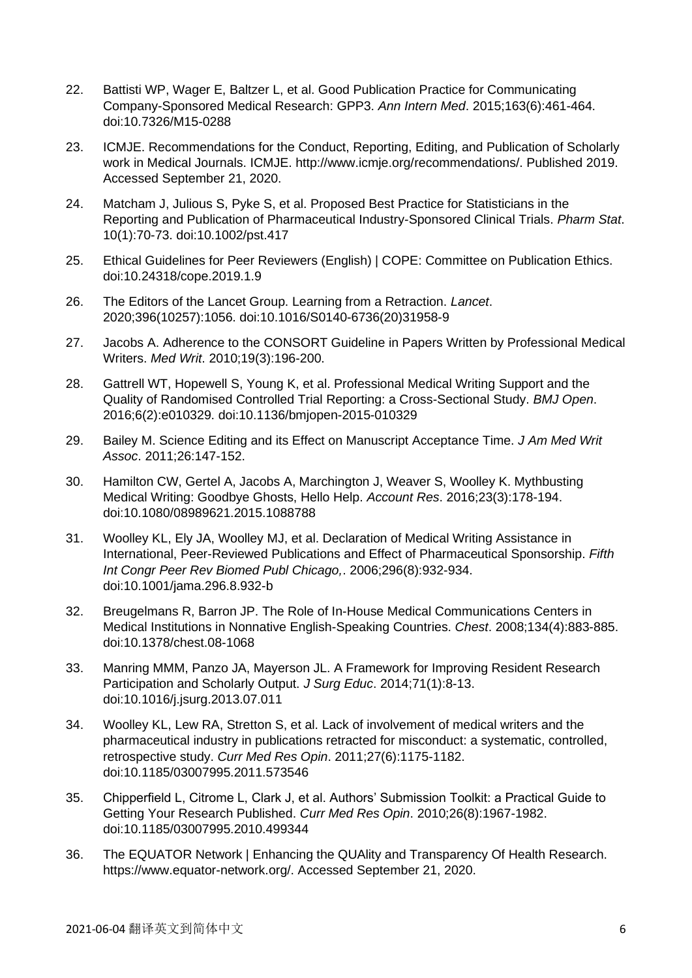- 22. Battisti WP, Wager E, Baltzer L, et al. Good Publication Practice for Communicating Company-Sponsored Medical Research: GPP3. *Ann Intern Med*. 2015;163(6):461-464. doi:10.7326/M15-0288
- 23. ICMJE. Recommendations for the Conduct, Reporting, Editing, and Publication of Scholarly work in Medical Journals. ICMJE. http://www.icmje.org/recommendations/. Published 2019. Accessed September 21, 2020.
- 24. Matcham J, Julious S, Pyke S, et al. Proposed Best Practice for Statisticians in the Reporting and Publication of Pharmaceutical Industry-Sponsored Clinical Trials. *Pharm Stat*. 10(1):70-73. doi:10.1002/pst.417
- 25. Ethical Guidelines for Peer Reviewers (English) | COPE: Committee on Publication Ethics. doi:10.24318/cope.2019.1.9
- 26. The Editors of the Lancet Group. Learning from a Retraction. *Lancet*. 2020;396(10257):1056. doi:10.1016/S0140-6736(20)31958-9
- 27. Jacobs A. Adherence to the CONSORT Guideline in Papers Written by Professional Medical Writers. *Med Writ*. 2010;19(3):196-200.
- 28. Gattrell WT, Hopewell S, Young K, et al. Professional Medical Writing Support and the Quality of Randomised Controlled Trial Reporting: a Cross-Sectional Study. *BMJ Open*. 2016;6(2):e010329. doi:10.1136/bmjopen-2015-010329
- 29. Bailey M. Science Editing and its Effect on Manuscript Acceptance Time. *J Am Med Writ Assoc*. 2011;26:147-152.
- 30. Hamilton CW, Gertel A, Jacobs A, Marchington J, Weaver S, Woolley K. Mythbusting Medical Writing: Goodbye Ghosts, Hello Help. *Account Res*. 2016;23(3):178-194. doi:10.1080/08989621.2015.1088788
- 31. Woolley KL, Ely JA, Woolley MJ, et al. Declaration of Medical Writing Assistance in International, Peer-Reviewed Publications and Effect of Pharmaceutical Sponsorship. *Fifth Int Congr Peer Rev Biomed Publ Chicago,*. 2006;296(8):932-934. doi:10.1001/jama.296.8.932-b
- 32. Breugelmans R, Barron JP. The Role of In-House Medical Communications Centers in Medical Institutions in Nonnative English-Speaking Countries. *Chest*. 2008;134(4):883-885. doi:10.1378/chest.08-1068
- 33. Manring MMM, Panzo JA, Mayerson JL. A Framework for Improving Resident Research Participation and Scholarly Output. *J Surg Educ*. 2014;71(1):8-13. doi:10.1016/j.jsurg.2013.07.011
- 34. Woolley KL, Lew RA, Stretton S, et al. Lack of involvement of medical writers and the pharmaceutical industry in publications retracted for misconduct: a systematic, controlled, retrospective study. *Curr Med Res Opin*. 2011;27(6):1175-1182. doi:10.1185/03007995.2011.573546
- 35. Chipperfield L, Citrome L, Clark J, et al. Authors' Submission Toolkit: a Practical Guide to Getting Your Research Published. *Curr Med Res Opin*. 2010;26(8):1967-1982. doi:10.1185/03007995.2010.499344
- 36. The EQUATOR Network | Enhancing the QUAlity and Transparency Of Health Research. https://www.equator-network.org/. Accessed September 21, 2020.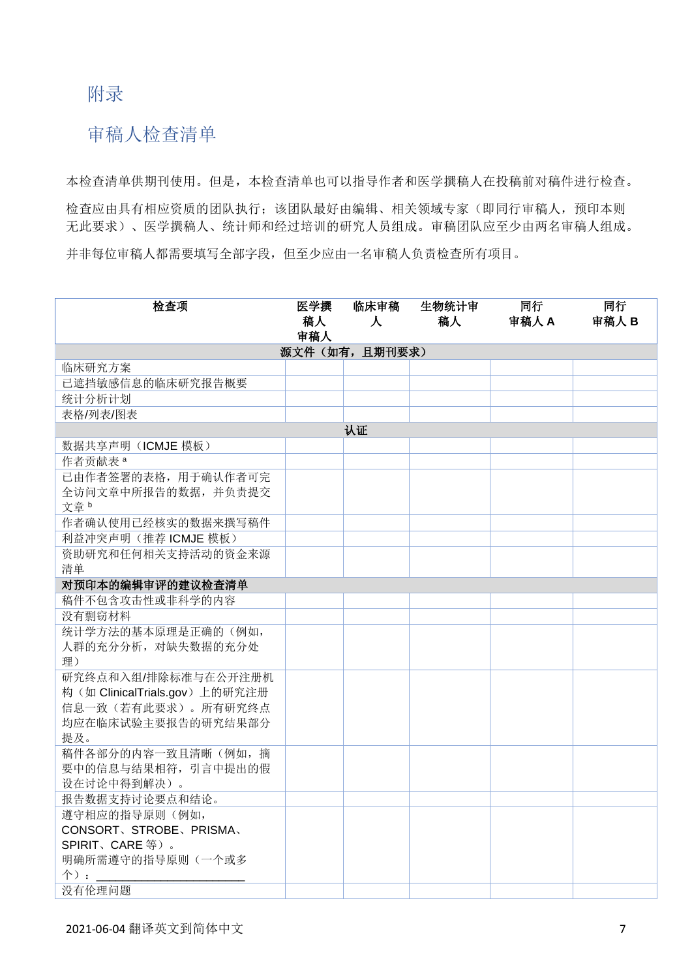## 附录

## 审稿人检查清单

本检查清单供期刊使用。但是,本检查清单也可以指导作者和医学撰稿人在投稿前对稿件进行检查。 检查应由具有相应资质的团队执行;该团队最好由编辑、相关领域专家(即同行审稿人,预印本则 无此要求)、医学撰稿人、统计师和经过培训的研究人员组成。审稿团队应至少由两名审稿人组成。 并非每位审稿人都需要填写全部字段,但至少应由一名审稿人负责检查所有项目。

| 检査项                                 | 医学撰<br>稿人 | 临床审稿<br>人 | 生物统计审<br>稿人 | 同行<br>审稿人 A | 同行<br>审稿人B |  |  |  |
|-------------------------------------|-----------|-----------|-------------|-------------|------------|--|--|--|
|                                     | 审稿人       |           |             |             |            |  |  |  |
| 源文件(如有,且期刊要求)                       |           |           |             |             |            |  |  |  |
| 临床研究方案                              |           |           |             |             |            |  |  |  |
| 己遮挡敏感信息的临床研究报告概要                    |           |           |             |             |            |  |  |  |
| 统计分析计划                              |           |           |             |             |            |  |  |  |
| 表格/列表/图表                            |           |           |             |             |            |  |  |  |
| 认证                                  |           |           |             |             |            |  |  |  |
| 数据共享声明 (ICMJE 模板)                   |           |           |             |             |            |  |  |  |
| 作者贡献表 <sup>a</sup>                  |           |           |             |             |            |  |  |  |
| 已由作者签署的表格,用于确认作者可完                  |           |           |             |             |            |  |  |  |
| 全访问文章中所报告的数据,并负责提交                  |           |           |             |             |            |  |  |  |
| 文章 b                                |           |           |             |             |            |  |  |  |
| 作者确认使用已经核实的数据来撰写稿件                  |           |           |             |             |            |  |  |  |
| 利益冲突声明(推荐ICMJE 模板)                  |           |           |             |             |            |  |  |  |
| 资助研究和任何相关支持活动的资金来源                  |           |           |             |             |            |  |  |  |
| 清单                                  |           |           |             |             |            |  |  |  |
| 对预印本的编辑审评的建议检查清单                    |           |           |             |             |            |  |  |  |
| 稿件不包含攻击性或非科学的内容                     |           |           |             |             |            |  |  |  |
| 没有剽窃材料                              |           |           |             |             |            |  |  |  |
| 统计学方法的基本原理是正确的(例如,                  |           |           |             |             |            |  |  |  |
| 人群的充分分析, 对缺失数据的充分处                  |           |           |             |             |            |  |  |  |
| 理)                                  |           |           |             |             |            |  |  |  |
| 研究终点和入组/排除标准与在公开注册机                 |           |           |             |             |            |  |  |  |
| 构(如 ClinicalTrials.gov)上的研究注册       |           |           |             |             |            |  |  |  |
| 信息一致(若有此要求)。所有研究终点                  |           |           |             |             |            |  |  |  |
| 均应在临床试验主要报告的研究结果部分                  |           |           |             |             |            |  |  |  |
| 提及。                                 |           |           |             |             |            |  |  |  |
| 稿件各部分的内容一致且清晰(例如, 摘                 |           |           |             |             |            |  |  |  |
| 要中的信息与结果相符, 引言中提出的假                 |           |           |             |             |            |  |  |  |
| 设在讨论中得到解决)。                         |           |           |             |             |            |  |  |  |
| 报告数据支持讨论要点和结论。                      |           |           |             |             |            |  |  |  |
| 遵守相应的指导原则(例如,                       |           |           |             |             |            |  |  |  |
| CONSORT、STROBE、PRISMA、              |           |           |             |             |            |  |  |  |
| SPIRIT、CARE 等)。<br>明确所需遵守的指导原则(一个或多 |           |           |             |             |            |  |  |  |
| 个):                                 |           |           |             |             |            |  |  |  |
| 没有伦理问题                              |           |           |             |             |            |  |  |  |
|                                     |           |           |             |             |            |  |  |  |